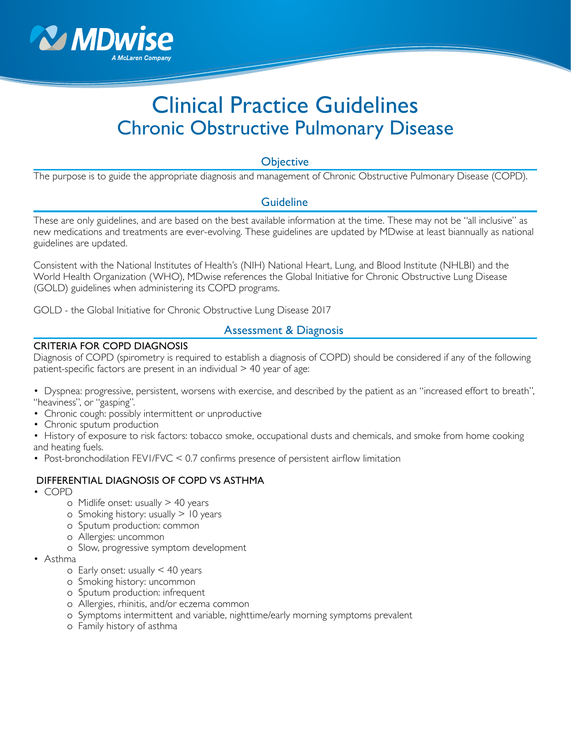

# Clinical Practice Guidelines Chronic Obstructive Pulmonary Disease

## **Objective**

The purpose is to guide the appropriate diagnosis and management of Chronic Obstructive Pulmonary Disease (COPD).

## Guideline

These are only guidelines, and are based on the best available information at the time. These may not be "all inclusive" as new medications and treatments are ever-evolving. These guidelines are updated by MDwise at least biannually as national guidelines are updated.

Consistent with the National Institutes of Health's (NIH) National Heart, Lung, and Blood Institute (NHLBI) and the World Health Organization (WHO), MDwise references the Global Initiative for Chronic Obstructive Lung Disease (GOLD) guidelines when administering its COPD programs.

GOLD - the Global Initiative for Chronic Obstructive Lung Disease 2017

## Assessment & Diagnosis

#### CRITERIA FOR COPD DIAGNOSIS

Diagnosis of COPD (spirometry is required to establish a diagnosis of COPD) should be considered if any of the following patient-specific factors are present in an individual > 40 year of age:

- Dyspnea: progressive, persistent, worsens with exercise, and described by the patient as an "increased effort to breath", "heaviness", or "gasping".
- Chronic cough: possibly intermittent or unproductive
- Chronic sputum production
- History of exposure to risk factors: tobacco smoke, occupational dusts and chemicals, and smoke from home cooking and heating fuels.
- Post-bronchodilation FEVI/FVC < 0.7 confirms presence of persistent airflow limitation

#### DIFFERENTIAL DIAGNOSIS OF COPD VS ASTHMA

- COPD
	- o Midlife onset: usually  $> 40$  years
	- o Smoking history: usually > 10 years
	- o Sputum production: common
	- o Allergies: uncommon
	- o Slow, progressive symptom development
- Asthma
	- $\circ$  Early onset: usually  $\leq$  40 years
	- o Smoking history: uncommon
	- o Sputum production: infrequent
	- o Allergies, rhinitis, and/or eczema common
	- o Symptoms intermittent and variable, nighttime/early morning symptoms prevalent
	- o Family history of asthma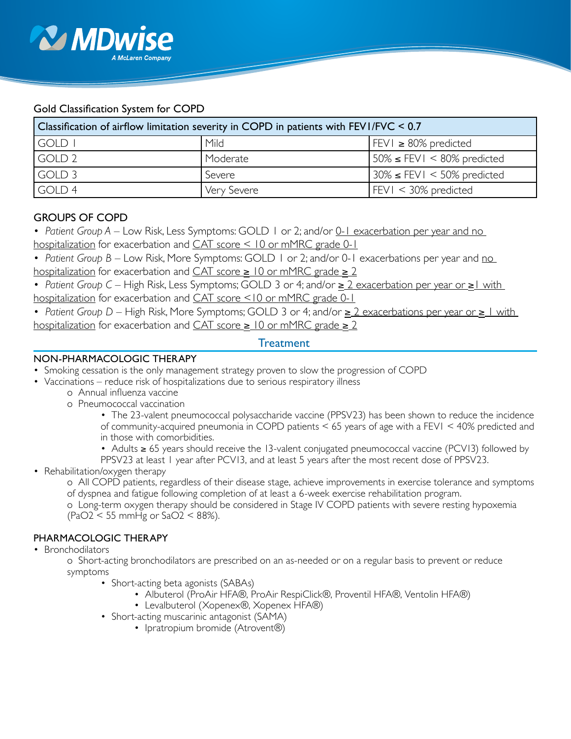

# Gold Classification System for COPD

| Classification of airflow limitation severity in COPD in patients with $FEVI/FVC < 0.7$ |             |                                       |
|-----------------------------------------------------------------------------------------|-------------|---------------------------------------|
| GOLD I                                                                                  | Mild        | $FEVI \ge 80\%$ predicted             |
| GOLD 2                                                                                  | Moderate    | $150\% \leq FEVI \leq 80\%$ predicted |
| GOLD 3                                                                                  | Severe      | $30\% \leq FEVI \leq 50\%$ predicted  |
| GOLD <sub>4</sub>                                                                       | Very Severe | $ FEV  < 30\%$ predicted              |

# GROUPS OF COPD

- *Patient Group A* Low Risk, Less Symptoms: GOLD 1 or 2; and/or <u>0-1 exacerbation per year and no</u> hospitalization for exacerbation and  $CAT$  score  $\leq 10$  or mMRC grade 0-1
- *Patient Group B Low Risk, More Symptoms: GOLD 1 or 2; and/or 0-1 exacerbations per year and no* hospitalization for exacerbation and  $CAT$  score  $\geq 10$  or mMRC grade  $\geq 2$
- *Patient Group C* High Risk, Less Symptoms; GOLD 3 or 4; and/or ≥ 2 exacerbation per year or ≥1 with hospitalization for exacerbation and CAT score <10 or mMRC grade 0-1
- *Patient Group D* High Risk, More Symptoms; GOLD 3 or 4; and/or ≥ 2 exacerbations per year or ≥ 1 with hospitalization for exacerbation and  $CAT$  score  $\geq 10$  or mMRC grade  $\geq 2$

# **Treatment**

## NON-PHARMACOLOGIC THERAPY

- Smoking cessation is the only management strategy proven to slow the progression of COPD
- Vaccinations reduce risk of hospitalizations due to serious respiratory illness
	- o Annual influenza vaccine
		- o Pneumococcal vaccination
			- The 23-valent pneumococcal polysaccharide vaccine (PPSV23) has been shown to reduce the incidence of community-acquired pneumonia in COPD patients < 65 years of age with a FEV1 < 40% predicted and in those with comorbidities.
			- Adults ≥ 65 years should receive the 13-valent conjugated pneumococcal vaccine (PCV13) followed by
			- PPSV23 at least 1 year after PCV13, and at least 5 years after the most recent dose of PPSV23.
- Rehabilitation/oxygen therapy
	- o All COPD patients, regardless of their disease stage, achieve improvements in exercise tolerance and symptoms of dyspnea and fatigue following completion of at least a 6-week exercise rehabilitation program.

o Long-term oxygen therapy should be considered in Stage IV COPD patients with severe resting hypoxemia (PaO2 < 55 mmHg or SaO2 < 88%).

#### PHARMACOLOGIC THERAPY

• Bronchodilators

o Short-acting bronchodilators are prescribed on an as-needed or on a regular basis to prevent or reduce symptoms

- Short-acting beta agonists (SABAs)
	- Albuterol (ProAir HFA®, ProAir RespiClick®, Proventil HFA®, Ventolin HFA®)
	- Levalbuterol (Xopenex®, Xopenex HFA®)
- Short-acting muscarinic antagonist (SAMA)
	- Ipratropium bromide (Atrovent®)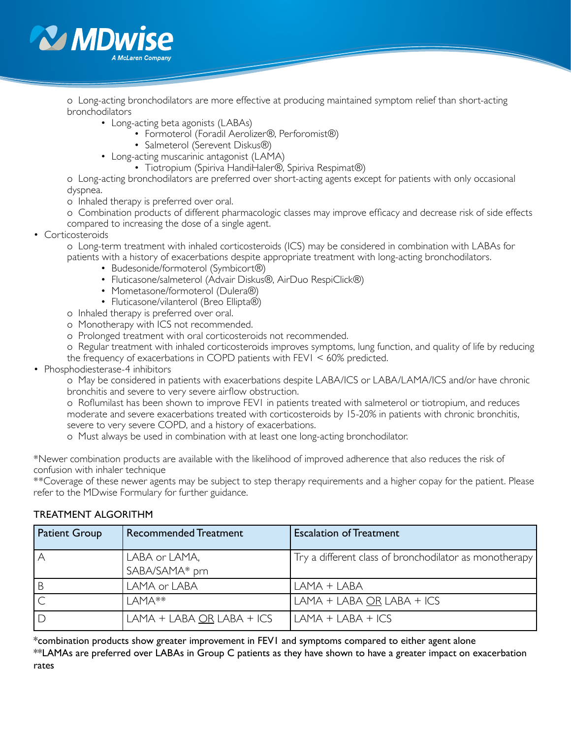

o Long-acting bronchodilators are more effective at producing maintained symptom relief than short-acting bronchodilators

- Long-acting beta agonists (LABAs)
	- Formoterol (Foradil Aerolizer®, Perforomist®)
	- Salmeterol (Serevent Diskus®)
- Long-acting muscarinic antagonist (LAMA)
	- Tiotropium (Spiriva HandiHaler®, Spiriva Respimat®)

o Long-acting bronchodilators are preferred over short-acting agents except for patients with only occasional dyspnea.

- o Inhaled therapy is preferred over oral.
- o Combination products of different pharmacologic classes may improve efficacy and decrease risk of side effects compared to increasing the dose of a single agent.
- Corticosteroids

o Long-term treatment with inhaled corticosteroids (ICS) may be considered in combination with LABAs for patients with a history of exacerbations despite appropriate treatment with long-acting bronchodilators.

- Budesonide/formoterol (Symbicort®)
- Fluticasone/salmeterol (Advair Diskus®, AirDuo RespiClick®)
- Mometasone/formoterol (Dulera®)
- Fluticasone/vilanterol (Breo Ellipta®)
- o Inhaled therapy is preferred over oral.
- o Monotherapy with ICS not recommended.
- o Prolonged treatment with oral corticosteroids not recommended.
- o Regular treatment with inhaled corticosteroids improves symptoms, lung function, and quality of life by reducing the frequency of exacerbations in COPD patients with FEV1 < 60% predicted.
- Phosphodiesterase-4 inhibitors

o May be considered in patients with exacerbations despite LABA/ICS or LABA/LAMA/ICS and/or have chronic bronchitis and severe to very severe airflow obstruction.

o Roflumilast has been shown to improve FEV1 in patients treated with salmeterol or tiotropium, and reduces moderate and severe exacerbations treated with corticosteroids by 15-20% in patients with chronic bronchitis, severe to very severe COPD, and a history of exacerbations.

o Must always be used in combination with at least one long-acting bronchodilator.

\*Newer combination products are available with the likelihood of improved adherence that also reduces the risk of confusion with inhaler technique

\*\*Coverage of these newer agents may be subject to step therapy requirements and a higher copay for the patient. Please refer to the MDwise Formulary for further guidance.

#### TREATMENT ALGORITHM

| <b>Patient Group</b> | <b>Recommended Treatment</b>    | <b>Escalation of Treatment</b>                         |
|----------------------|---------------------------------|--------------------------------------------------------|
|                      | LABA or LAMA,<br>SABA/SAMA* prn | Try a different class of bronchodilator as monotherapy |
|                      | LAMA or LABA                    | LAMA + LABA                                            |
|                      | $IAMA**$                        | $LAMA + LABA OR LABA + ICS$                            |
|                      | $LAMA + LABA OR LABA + ICS$     | $LAMA + LABA + ICS$                                    |

\*combination products show greater improvement in FEV1 and symptoms compared to either agent alone

\*\*LAMAs are preferred over LABAs in Group C patients as they have shown to have a greater impact on exacerbation rates